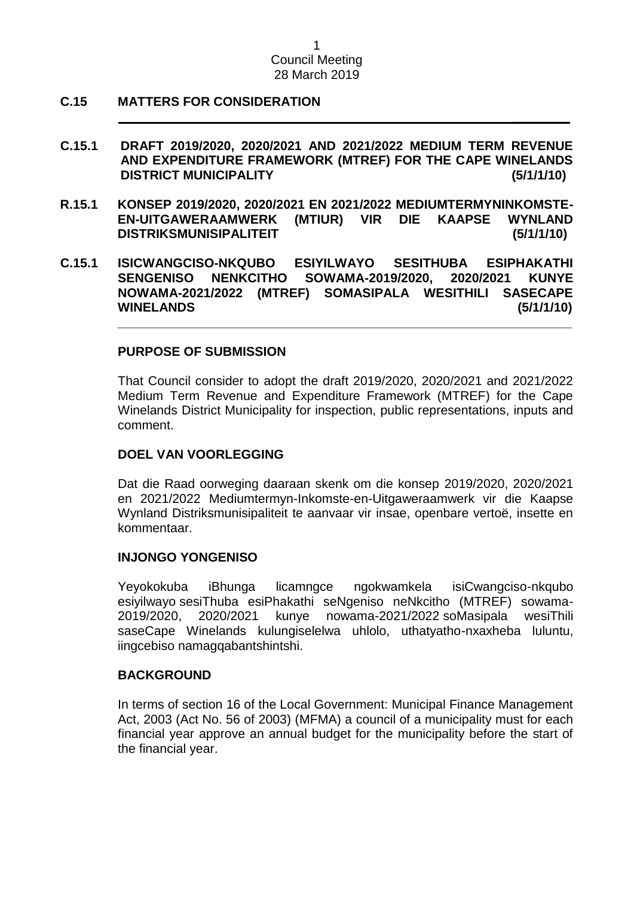### **C.15 MATTERS FOR CONSIDERATION**

**C.15.1 DRAFT 2019/2020, 2020/2021 AND 2021/2022 MEDIUM TERM REVENUE AND EXPENDITURE FRAMEWORK (MTREF) FOR THE CAPE WINELANDS DISTRICT MUNICIPALITY (5/1/1/10)**

**\_\_\_\_\_\_\_\_**

- **R.15.1 KONSEP 2019/2020, 2020/2021 EN 2021/2022 MEDIUMTERMYNINKOMSTE-EN-UITGAWERAAMWERK (MTIUR) VIR DIE KAAPSE WYNLAND DISTRIKSMUNISIPALITEIT (5/1/1/10)**
- **C.15.1 ISICWANGCISO-NKQUBO ESIYILWAYO SESITHUBA ESIPHAKATHI SENGENISO NENKCITHO SOWAMA-2019/2020, 2020/2021 KUNYE NOWAMA-2021/2022 (MTREF) SOMASIPALA WESITHILI SASECAPE WINELANDS (5/1/1/10)**

#### **PURPOSE OF SUBMISSION**

That Council consider to adopt the draft 2019/2020, 2020/2021 and 2021/2022 Medium Term Revenue and Expenditure Framework (MTREF) for the Cape Winelands District Municipality for inspection, public representations, inputs and comment.

**\_\_\_\_\_\_\_\_\_\_\_\_\_\_\_\_\_\_\_\_\_\_\_\_\_\_\_\_\_\_\_\_\_\_\_\_\_\_\_\_\_\_\_\_\_\_\_\_\_\_\_\_\_\_\_\_\_\_\_\_\_\_\_\_**

#### **DOEL VAN VOORLEGGING**

Dat die Raad oorweging daaraan skenk om die konsep 2019/2020, 2020/2021 en 2021/2022 Mediumtermyn-Inkomste-en-Uitgaweraamwerk vir die Kaapse Wynland Distriksmunisipaliteit te aanvaar vir insae, openbare vertoë, insette en kommentaar.

#### **INJONGO YONGENISO**

Yeyokokuba iBhunga licamngce ngokwamkela isiCwangciso-nkqubo esiyilwayo sesiThuba esiPhakathi seNgeniso neNkcitho (MTREF) sowama-2019/2020, 2020/2021 kunye nowama-2021/2022 soMasipala wesiThili saseCape Winelands kulungiselelwa uhlolo, uthatyatho-nxaxheba luluntu, iingcebiso namagqabantshintshi.

#### **BACKGROUND**

In terms of section 16 of the Local Government: Municipal Finance Management Act, 2003 (Act No. 56 of 2003) (MFMA) a council of a municipality must for each financial year approve an annual budget for the municipality before the start of the financial year.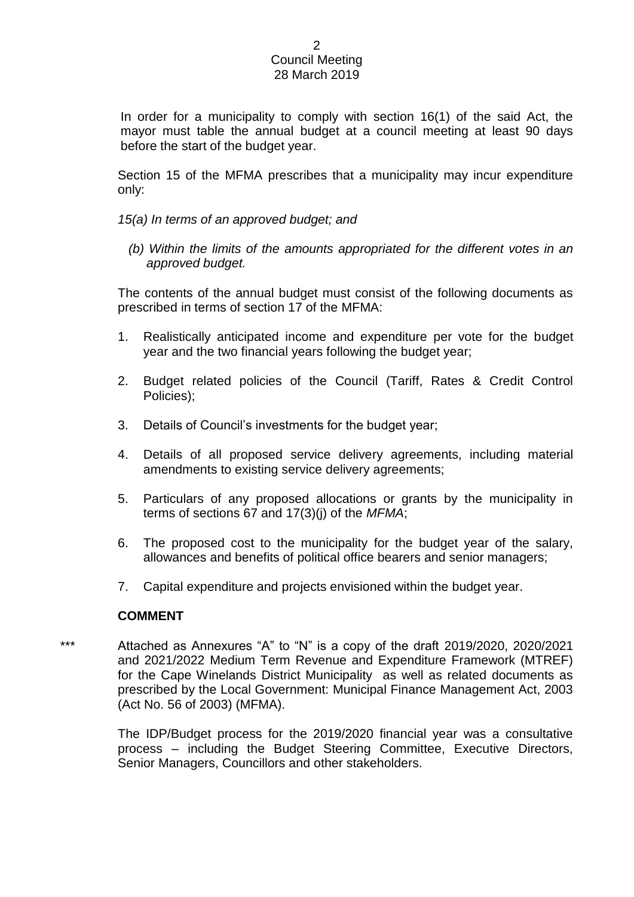In order for a municipality to comply with section 16(1) of the said Act, the mayor must table the annual budget at a council meeting at least 90 days before the start of the budget year.

Section 15 of the MFMA prescribes that a municipality may incur expenditure only:

- *15(a) In terms of an approved budget; and* 
	- *(b) Within the limits of the amounts appropriated for the different votes in an approved budget.*

The contents of the annual budget must consist of the following documents as prescribed in terms of section 17 of the MFMA:

- 1. Realistically anticipated income and expenditure per vote for the budget year and the two financial years following the budget year;
- 2. Budget related policies of the Council (Tariff, Rates & Credit Control Policies);
- 3. Details of Council's investments for the budget year;
- 4. Details of all proposed service delivery agreements, including material amendments to existing service delivery agreements;
- 5. Particulars of any proposed allocations or grants by the municipality in terms of sections 67 and 17(3)(j) of the *MFMA*;
- 6. The proposed cost to the municipality for the budget year of the salary, allowances and benefits of political office bearers and senior managers;
- 7. Capital expenditure and projects envisioned within the budget year.

#### **COMMENT**

Attached as Annexures "A" to "N" is a copy of the draft 2019/2020, 2020/2021 and 2021/2022 Medium Term Revenue and Expenditure Framework (MTREF) for the Cape Winelands District Municipality as well as related documents as prescribed by the Local Government: Municipal Finance Management Act, 2003 (Act No. 56 of 2003) (MFMA).

> The IDP/Budget process for the 2019/2020 financial year was a consultative process – including the Budget Steering Committee, Executive Directors, Senior Managers, Councillors and other stakeholders.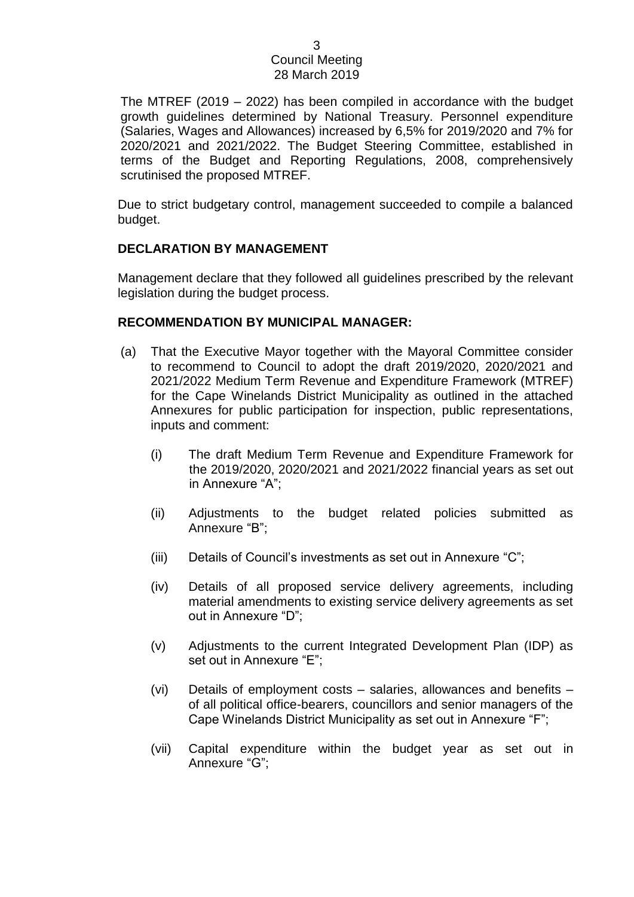The MTREF (2019 – 2022) has been compiled in accordance with the budget growth guidelines determined by National Treasury. Personnel expenditure (Salaries, Wages and Allowances) increased by 6,5% for 2019/2020 and 7% for 2020/2021 and 2021/2022. The Budget Steering Committee, established in terms of the Budget and Reporting Regulations, 2008, comprehensively scrutinised the proposed MTREF.

Due to strict budgetary control, management succeeded to compile a balanced budget.

### **DECLARATION BY MANAGEMENT**

Management declare that they followed all guidelines prescribed by the relevant legislation during the budget process.

### **RECOMMENDATION BY MUNICIPAL MANAGER:**

- (a) That the Executive Mayor together with the Mayoral Committee consider to recommend to Council to adopt the draft 2019/2020, 2020/2021 and 2021/2022 Medium Term Revenue and Expenditure Framework (MTREF) for the Cape Winelands District Municipality as outlined in the attached Annexures for public participation for inspection, public representations, inputs and comment:
	- (i) The draft Medium Term Revenue and Expenditure Framework for the 2019/2020, 2020/2021 and 2021/2022 financial years as set out in Annexure "A";
	- (ii) Adjustments to the budget related policies submitted as Annexure "B";
	- (iii) Details of Council's investments as set out in Annexure "C";
	- (iv) Details of all proposed service delivery agreements, including material amendments to existing service delivery agreements as set out in Annexure "D";
	- (v) Adjustments to the current Integrated Development Plan (IDP) as set out in Annexure "E";
	- (vi) Details of employment costs salaries, allowances and benefits of all political office-bearers, councillors and senior managers of the Cape Winelands District Municipality as set out in Annexure "F";
	- (vii) Capital expenditure within the budget year as set out in Annexure "G";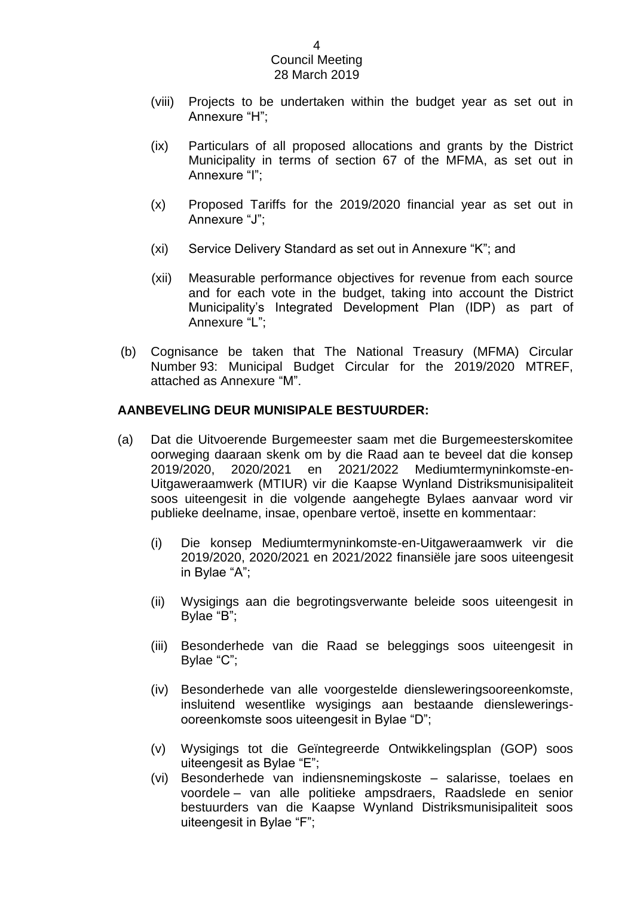- (viii) Projects to be undertaken within the budget year as set out in Annexure "H";
- (ix) Particulars of all proposed allocations and grants by the District Municipality in terms of section 67 of the MFMA, as set out in Annexure "I";
- (x) Proposed Tariffs for the 2019/2020 financial year as set out in Annexure "J";
- (xi) Service Delivery Standard as set out in Annexure "K"; and
- (xii) Measurable performance objectives for revenue from each source and for each vote in the budget, taking into account the District Municipality's Integrated Development Plan (IDP) as part of Annexure "L";
- (b) Cognisance be taken that The National Treasury (MFMA) Circular Number 93: Municipal Budget Circular for the 2019/2020 MTREF, attached as Annexure "M".

### **AANBEVELING DEUR MUNISIPALE BESTUURDER:**

- (a) Dat die Uitvoerende Burgemeester saam met die Burgemeesterskomitee oorweging daaraan skenk om by die Raad aan te beveel dat die konsep 2019/2020, 2020/2021 en 2021/2022 Mediumtermyninkomste-en-Uitgaweraamwerk (MTIUR) vir die Kaapse Wynland Distriksmunisipaliteit soos uiteengesit in die volgende aangehegte Bylaes aanvaar word vir publieke deelname, insae, openbare vertoë, insette en kommentaar:
	- (i) Die konsep Mediumtermyninkomste-en-Uitgaweraamwerk vir die 2019/2020, 2020/2021 en 2021/2022 finansiële jare soos uiteengesit in Bylae "A";
	- (ii) Wysigings aan die begrotingsverwante beleide soos uiteengesit in Bylae "B";
	- (iii) Besonderhede van die Raad se beleggings soos uiteengesit in Bylae "C";
	- (iv) Besonderhede van alle voorgestelde diensleweringsooreenkomste, insluitend wesentlike wysigings aan bestaande diensleweringsooreenkomste soos uiteengesit in Bylae "D";
	- (v) Wysigings tot die Geïntegreerde Ontwikkelingsplan (GOP) soos uiteengesit as Bylae "E";
	- (vi) Besonderhede van indiensnemingskoste salarisse, toelaes en voordele – van alle politieke ampsdraers, Raadslede en senior bestuurders van die Kaapse Wynland Distriksmunisipaliteit soos uiteengesit in Bylae "F";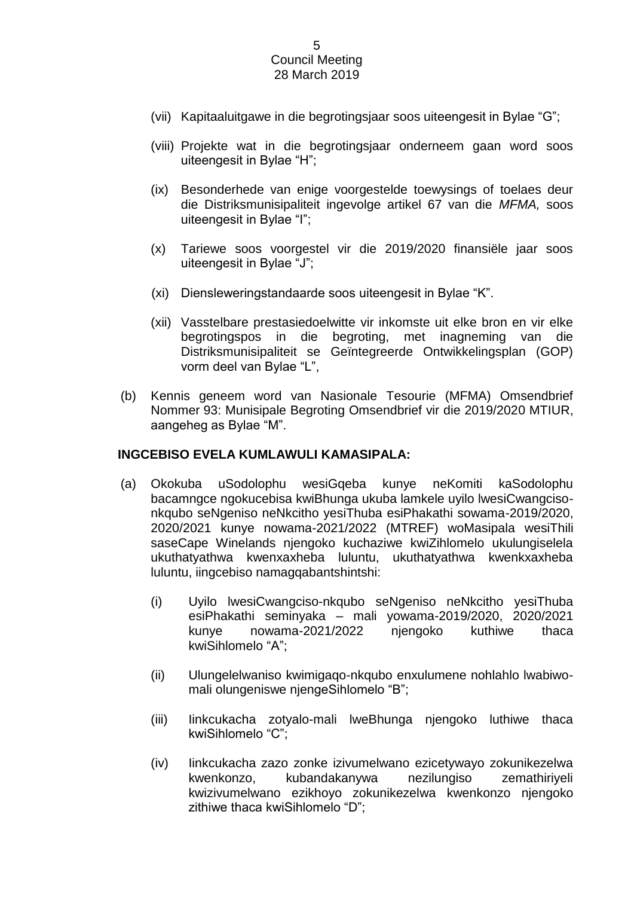- (vii) Kapitaaluitgawe in die begrotingsjaar soos uiteengesit in Bylae "G";
- (viii) Projekte wat in die begrotingsjaar onderneem gaan word soos uiteengesit in Bylae "H";
- (ix) Besonderhede van enige voorgestelde toewysings of toelaes deur die Distriksmunisipaliteit ingevolge artikel 67 van die *MFMA,* soos uiteengesit in Bylae "I";
- (x) Tariewe soos voorgestel vir die 2019/2020 finansiële jaar soos uiteengesit in Bylae "J";
- (xi) Diensleweringstandaarde soos uiteengesit in Bylae "K".
- (xii) Vasstelbare prestasiedoelwitte vir inkomste uit elke bron en vir elke begrotingspos in die begroting, met inagneming van die Distriksmunisipaliteit se Geïntegreerde Ontwikkelingsplan (GOP) vorm deel van Bylae "L",
- (b) Kennis geneem word van Nasionale Tesourie (MFMA) Omsendbrief Nommer 93: Munisipale Begroting Omsendbrief vir die 2019/2020 MTIUR, aangeheg as Bylae "M".

#### **INGCEBISO EVELA KUMLAWULI KAMASIPALA:**

- (a) Okokuba uSodolophu wesiGqeba kunye neKomiti kaSodolophu bacamngce ngokucebisa kwiBhunga ukuba lamkele uyilo lwesiCwangcisonkqubo seNgeniso neNkcitho yesiThuba esiPhakathi sowama-2019/2020, 2020/2021 kunye nowama-2021/2022 (MTREF) woMasipala wesiThili saseCape Winelands njengoko kuchaziwe kwiZihlomelo ukulungiselela ukuthatyathwa kwenxaxheba luluntu, ukuthatyathwa kwenkxaxheba luluntu, iingcebiso namagqabantshintshi:
	- (i) Uyilo lwesiCwangciso-nkqubo seNgeniso neNkcitho yesiThuba esiPhakathi seminyaka – mali yowama-2019/2020, 2020/2021 kunye nowama-2021/2022 njengoko kuthiwe thaca kwiSihlomelo "A";
	- (ii) Ulungelelwaniso kwimigaqo-nkqubo enxulumene nohlahlo lwabiwomali olungeniswe njengeSihlomelo "B";
	- (iii) Iinkcukacha zotyalo-mali lweBhunga njengoko luthiwe thaca kwiSihlomelo "C";
	- (iv) Iinkcukacha zazo zonke izivumelwano ezicetywayo zokunikezelwa kwenkonzo, kubandakanywa nezilungiso zemathiriyeli kwizivumelwano ezikhoyo zokunikezelwa kwenkonzo njengoko zithiwe thaca kwiSihlomelo "D";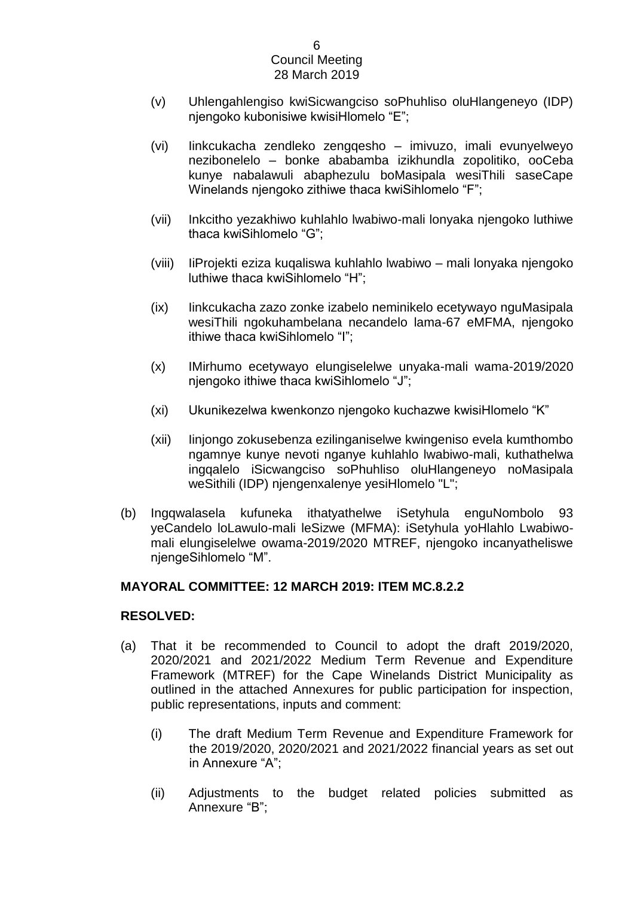- (v) Uhlengahlengiso kwiSicwangciso soPhuhliso oluHlangeneyo (IDP) njengoko kubonisiwe kwisiHlomelo "E";
- (vi) Iinkcukacha zendleko zengqesho imivuzo, imali evunyelweyo nezibonelelo – bonke ababamba izikhundla zopolitiko, ooCeba kunye nabalawuli abaphezulu boMasipala wesiThili saseCape Winelands njengoko zithiwe thaca kwiSihlomelo "F";
- (vii) Inkcitho yezakhiwo kuhlahlo lwabiwo-mali lonyaka njengoko luthiwe thaca kwiSihlomelo "G";
- (viii) IiProjekti eziza kuqaliswa kuhlahlo lwabiwo mali lonyaka njengoko luthiwe thaca kwiSihlomelo "H";
- (ix) Iinkcukacha zazo zonke izabelo neminikelo ecetywayo nguMasipala wesiThili ngokuhambelana necandelo lama-67 eMFMA, njengoko ithiwe thaca kwiSihlomelo "I";
- (x) IMirhumo ecetywayo elungiselelwe unyaka-mali wama-2019/2020 njengoko ithiwe thaca kwiSihlomelo "J";
- (xi) Ukunikezelwa kwenkonzo njengoko kuchazwe kwisiHlomelo "K"
- (xii) Iinjongo zokusebenza ezilinganiselwe kwingeniso evela kumthombo ngamnye kunye nevoti nganye kuhlahlo lwabiwo-mali, kuthathelwa ingqalelo iSicwangciso soPhuhliso oluHlangeneyo noMasipala weSithili (IDP) njengenxalenye yesiHlomelo "L";
- (b) Ingqwalasela kufuneka ithatyathelwe iSetyhula enguNombolo 93 yeCandelo loLawulo-mali leSizwe (MFMA): iSetyhula yoHlahlo Lwabiwomali elungiselelwe owama-2019/2020 MTREF, njengoko incanyatheliswe njengeSihlomelo "M".

## **MAYORAL COMMITTEE: 12 MARCH 2019: ITEM MC.8.2.2**

## **RESOLVED:**

- (a) That it be recommended to Council to adopt the draft 2019/2020, 2020/2021 and 2021/2022 Medium Term Revenue and Expenditure Framework (MTREF) for the Cape Winelands District Municipality as outlined in the attached Annexures for public participation for inspection, public representations, inputs and comment:
	- (i) The draft Medium Term Revenue and Expenditure Framework for the 2019/2020, 2020/2021 and 2021/2022 financial years as set out in Annexure "A";
	- (ii) Adjustments to the budget related policies submitted as Annexure "B";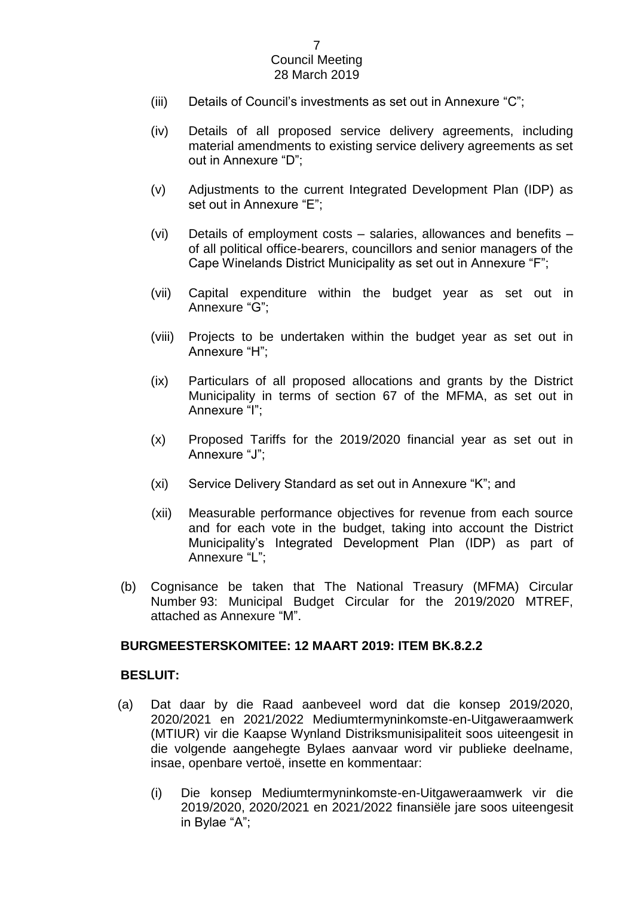- (iii) Details of Council's investments as set out in Annexure "C";
- (iv) Details of all proposed service delivery agreements, including material amendments to existing service delivery agreements as set out in Annexure "D";
- (v) Adjustments to the current Integrated Development Plan (IDP) as set out in Annexure "E";
- (vi) Details of employment costs salaries, allowances and benefits of all political office-bearers, councillors and senior managers of the Cape Winelands District Municipality as set out in Annexure "F";
- (vii) Capital expenditure within the budget year as set out in Annexure "G";
- (viii) Projects to be undertaken within the budget year as set out in Annexure "H";
- (ix) Particulars of all proposed allocations and grants by the District Municipality in terms of section 67 of the MFMA, as set out in Annexure "I";
- (x) Proposed Tariffs for the 2019/2020 financial year as set out in Annexure "J";
- (xi) Service Delivery Standard as set out in Annexure "K"; and
- (xii) Measurable performance objectives for revenue from each source and for each vote in the budget, taking into account the District Municipality's Integrated Development Plan (IDP) as part of Annexure "L";
- (b) Cognisance be taken that The National Treasury (MFMA) Circular Number 93: Municipal Budget Circular for the 2019/2020 MTREF, attached as Annexure "M".

#### **BURGMEESTERSKOMITEE: 12 MAART 2019: ITEM BK.8.2.2**

#### **BESLUIT:**

- (a) Dat daar by die Raad aanbeveel word dat die konsep 2019/2020, 2020/2021 en 2021/2022 Mediumtermyninkomste-en-Uitgaweraamwerk (MTIUR) vir die Kaapse Wynland Distriksmunisipaliteit soos uiteengesit in die volgende aangehegte Bylaes aanvaar word vir publieke deelname, insae, openbare vertoë, insette en kommentaar:
	- (i) Die konsep Mediumtermyninkomste-en-Uitgaweraamwerk vir die 2019/2020, 2020/2021 en 2021/2022 finansiële jare soos uiteengesit in Bylae "A";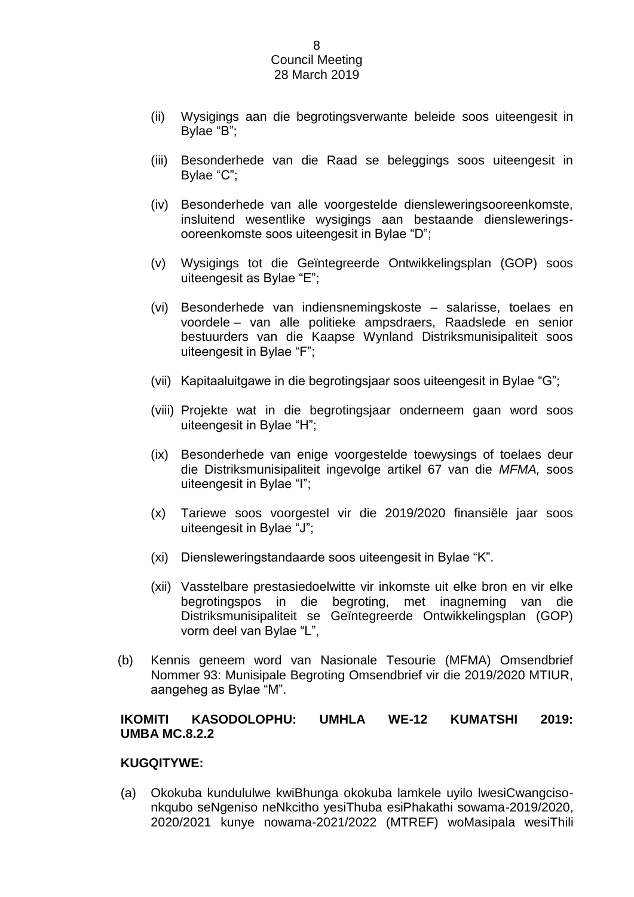- (ii) Wysigings aan die begrotingsverwante beleide soos uiteengesit in Bylae "B";
- (iii) Besonderhede van die Raad se beleggings soos uiteengesit in Bylae "C";
- (iv) Besonderhede van alle voorgestelde diensleweringsooreenkomste, insluitend wesentlike wysigings aan bestaande diensleweringsooreenkomste soos uiteengesit in Bylae "D";
- (v) Wysigings tot die Geïntegreerde Ontwikkelingsplan (GOP) soos uiteengesit as Bylae "E";
- (vi) Besonderhede van indiensnemingskoste salarisse, toelaes en voordele – van alle politieke ampsdraers, Raadslede en senior bestuurders van die Kaapse Wynland Distriksmunisipaliteit soos uiteengesit in Bylae "F";
- (vii) Kapitaaluitgawe in die begrotingsjaar soos uiteengesit in Bylae "G";
- (viii) Projekte wat in die begrotingsjaar onderneem gaan word soos uiteengesit in Bylae "H";
- (ix) Besonderhede van enige voorgestelde toewysings of toelaes deur die Distriksmunisipaliteit ingevolge artikel 67 van die *MFMA,* soos uiteengesit in Bylae "I";
- (x) Tariewe soos voorgestel vir die 2019/2020 finansiële jaar soos uiteengesit in Bylae "J";
- (xi) Diensleweringstandaarde soos uiteengesit in Bylae "K".
- (xii) Vasstelbare prestasiedoelwitte vir inkomste uit elke bron en vir elke begrotingspos in die begroting, met inagneming van die Distriksmunisipaliteit se Geïntegreerde Ontwikkelingsplan (GOP) vorm deel van Bylae "L",
- (b) Kennis geneem word van Nasionale Tesourie (MFMA) Omsendbrief Nommer 93: Munisipale Begroting Omsendbrief vir die 2019/2020 MTIUR, aangeheg as Bylae "M".

## **IKOMITI KASODOLOPHU: UMHLA WE-12 KUMATSHI 2019: UMBA MC.8.2.2**

#### **KUGQITYWE:**

(a) Okokuba kundululwe kwiBhunga okokuba lamkele uyilo lwesiCwangcisonkqubo seNgeniso neNkcitho yesiThuba esiPhakathi sowama-2019/2020, 2020/2021 kunye nowama-2021/2022 (MTREF) woMasipala wesiThili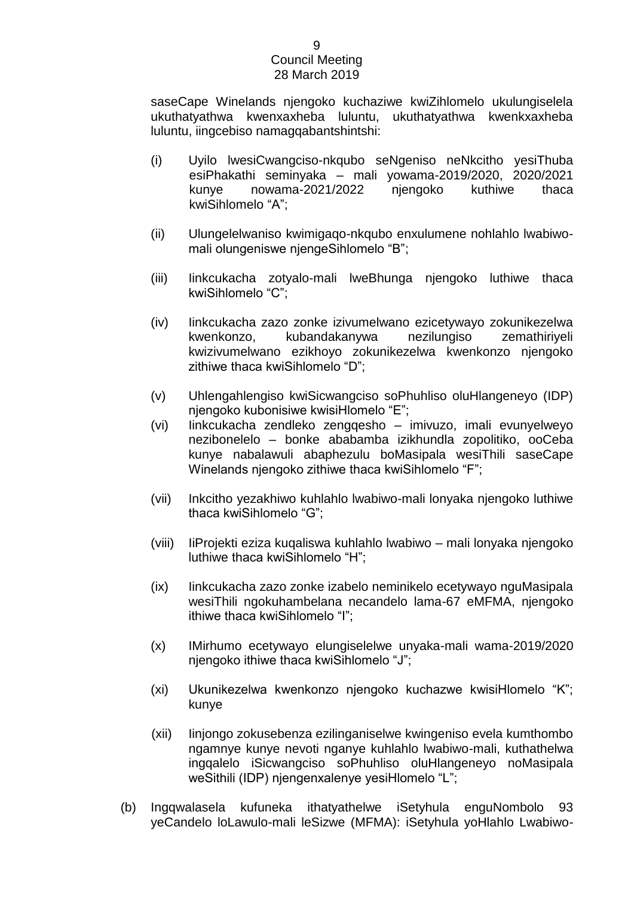saseCape Winelands njengoko kuchaziwe kwiZihlomelo ukulungiselela ukuthatyathwa kwenxaxheba luluntu, ukuthatyathwa kwenkxaxheba luluntu, iingcebiso namagqabantshintshi:

- (i) Uyilo lwesiCwangciso-nkqubo seNgeniso neNkcitho yesiThuba esiPhakathi seminyaka – mali yowama-2019/2020, 2020/2021 kunye nowama-2021/2022 njengoko kuthiwe thaca kwiSihlomelo "A";
- (ii) Ulungelelwaniso kwimigaqo-nkqubo enxulumene nohlahlo lwabiwomali olungeniswe njengeSihlomelo "B";
- (iii) Iinkcukacha zotyalo-mali lweBhunga njengoko luthiwe thaca kwiSihlomelo "C";
- (iv) Iinkcukacha zazo zonke izivumelwano ezicetywayo zokunikezelwa kwenkonzo, kubandakanywa nezilungiso zemathiriyeli kwizivumelwano ezikhoyo zokunikezelwa kwenkonzo njengoko zithiwe thaca kwiSihlomelo "D";
- (v) Uhlengahlengiso kwiSicwangciso soPhuhliso oluHlangeneyo (IDP) njengoko kubonisiwe kwisiHlomelo "E";
- (vi) Iinkcukacha zendleko zengqesho imivuzo, imali evunyelweyo nezibonelelo – bonke ababamba izikhundla zopolitiko, ooCeba kunye nabalawuli abaphezulu boMasipala wesiThili saseCape Winelands njengoko zithiwe thaca kwiSihlomelo "F";
- (vii) Inkcitho yezakhiwo kuhlahlo lwabiwo-mali lonyaka njengoko luthiwe thaca kwiSihlomelo "G";
- (viii) IiProjekti eziza kuqaliswa kuhlahlo lwabiwo mali lonyaka njengoko luthiwe thaca kwiSihlomelo "H";
- (ix) Iinkcukacha zazo zonke izabelo neminikelo ecetywayo nguMasipala wesiThili ngokuhambelana necandelo lama-67 eMFMA, njengoko ithiwe thaca kwiSihlomelo "I";
- (x) IMirhumo ecetywayo elungiselelwe unyaka-mali wama-2019/2020 njengoko ithiwe thaca kwiSihlomelo "J";
- (xi) Ukunikezelwa kwenkonzo njengoko kuchazwe kwisiHlomelo "K"; kunye
- (xii) Iinjongo zokusebenza ezilinganiselwe kwingeniso evela kumthombo ngamnye kunye nevoti nganye kuhlahlo lwabiwo-mali, kuthathelwa ingqalelo iSicwangciso soPhuhliso oluHlangeneyo noMasipala weSithili (IDP) njengenxalenye yesiHlomelo "L";
- (b) Ingqwalasela kufuneka ithatyathelwe iSetyhula enguNombolo 93 yeCandelo loLawulo-mali leSizwe (MFMA): iSetyhula yoHlahlo Lwabiwo-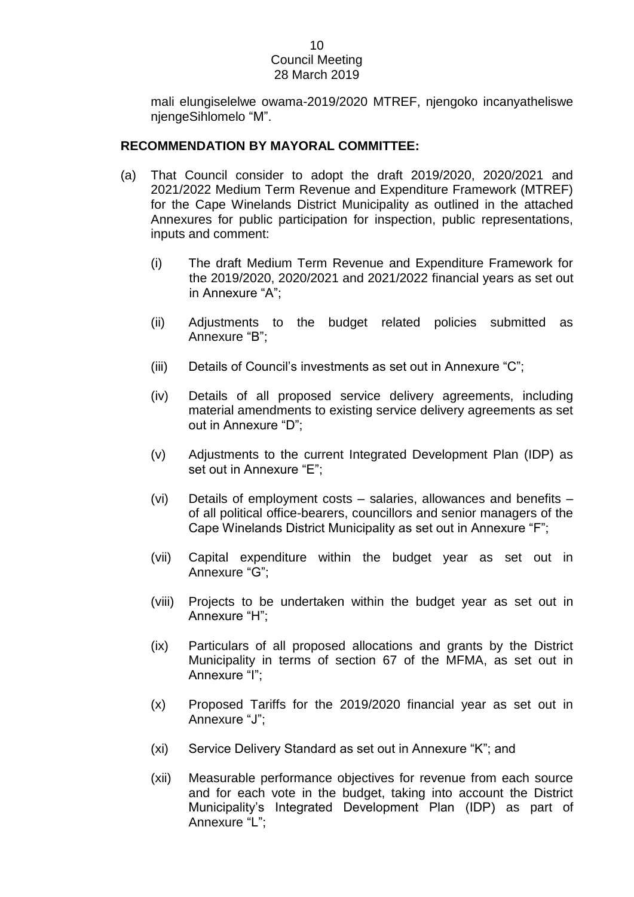mali elungiselelwe owama-2019/2020 MTREF, njengoko incanyatheliswe njengeSihlomelo "M".

## **RECOMMENDATION BY MAYORAL COMMITTEE:**

- (a) That Council consider to adopt the draft 2019/2020, 2020/2021 and 2021/2022 Medium Term Revenue and Expenditure Framework (MTREF) for the Cape Winelands District Municipality as outlined in the attached Annexures for public participation for inspection, public representations, inputs and comment:
	- (i) The draft Medium Term Revenue and Expenditure Framework for the 2019/2020, 2020/2021 and 2021/2022 financial years as set out in Annexure "A";
	- (ii) Adjustments to the budget related policies submitted as Annexure "B";
	- (iii) Details of Council's investments as set out in Annexure "C";
	- (iv) Details of all proposed service delivery agreements, including material amendments to existing service delivery agreements as set out in Annexure "D";
	- (v) Adjustments to the current Integrated Development Plan (IDP) as set out in Annexure "E";
	- (vi) Details of employment costs salaries, allowances and benefits of all political office-bearers, councillors and senior managers of the Cape Winelands District Municipality as set out in Annexure "F";
	- (vii) Capital expenditure within the budget year as set out in Annexure "G";
	- (viii) Projects to be undertaken within the budget year as set out in Annexure "H";
	- (ix) Particulars of all proposed allocations and grants by the District Municipality in terms of section 67 of the MFMA, as set out in Annexure "I";
	- (x) Proposed Tariffs for the 2019/2020 financial year as set out in Annexure "J";
	- (xi) Service Delivery Standard as set out in Annexure "K"; and
	- (xii) Measurable performance objectives for revenue from each source and for each vote in the budget, taking into account the District Municipality's Integrated Development Plan (IDP) as part of Annexure "L";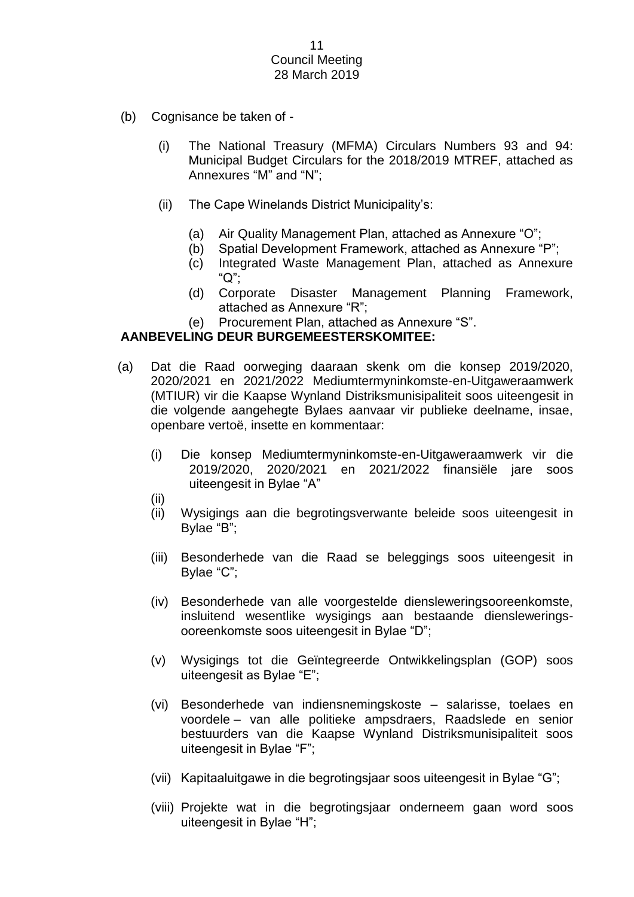- (b) Cognisance be taken of
	- (i) The National Treasury (MFMA) Circulars Numbers 93 and 94: Municipal Budget Circulars for the 2018/2019 MTREF, attached as Annexures "M" and "N";
	- (ii) The Cape Winelands District Municipality's:
		- (a) Air Quality Management Plan, attached as Annexure "O";
		- (b) Spatial Development Framework, attached as Annexure "P";
		- (c) Integrated Waste Management Plan, attached as Annexure "Q";
		- (d) Corporate Disaster Management Planning Framework, attached as Annexure "R";
		- (e) Procurement Plan, attached as Annexure "S".

## **AANBEVELING DEUR BURGEMEESTERSKOMITEE:**

- (a) Dat die Raad oorweging daaraan skenk om die konsep 2019/2020, 2020/2021 en 2021/2022 Mediumtermyninkomste-en-Uitgaweraamwerk (MTIUR) vir die Kaapse Wynland Distriksmunisipaliteit soos uiteengesit in die volgende aangehegte Bylaes aanvaar vir publieke deelname, insae, openbare vertoë, insette en kommentaar:
	- (i) Die konsep Mediumtermyninkomste-en-Uitgaweraamwerk vir die 2019/2020, 2020/2021 en 2021/2022 finansiële jare soos uiteengesit in Bylae "A"
	- (ii)
	- (ii) Wysigings aan die begrotingsverwante beleide soos uiteengesit in Bylae "B";
	- (iii) Besonderhede van die Raad se beleggings soos uiteengesit in Bylae "C";
	- (iv) Besonderhede van alle voorgestelde diensleweringsooreenkomste, insluitend wesentlike wysigings aan bestaande diensleweringsooreenkomste soos uiteengesit in Bylae "D";
	- (v) Wysigings tot die Geïntegreerde Ontwikkelingsplan (GOP) soos uiteengesit as Bylae "E";
	- (vi) Besonderhede van indiensnemingskoste salarisse, toelaes en voordele – van alle politieke ampsdraers, Raadslede en senior bestuurders van die Kaapse Wynland Distriksmunisipaliteit soos uiteengesit in Bylae "F";
	- (vii) Kapitaaluitgawe in die begrotingsjaar soos uiteengesit in Bylae "G";
	- (viii) Projekte wat in die begrotingsjaar onderneem gaan word soos uiteengesit in Bylae "H";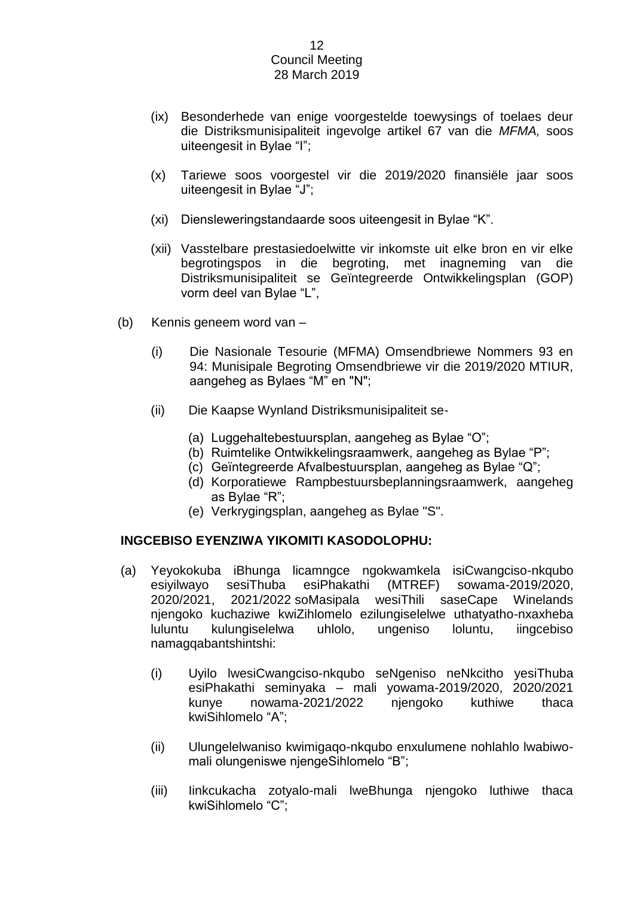- (ix) Besonderhede van enige voorgestelde toewysings of toelaes deur die Distriksmunisipaliteit ingevolge artikel 67 van die *MFMA,* soos uiteengesit in Bylae "I";
- (x) Tariewe soos voorgestel vir die 2019/2020 finansiële jaar soos uiteengesit in Bylae "J";
- (xi) Diensleweringstandaarde soos uiteengesit in Bylae "K".
- (xii) Vasstelbare prestasiedoelwitte vir inkomste uit elke bron en vir elke begrotingspos in die begroting, met inagneming van die Distriksmunisipaliteit se Geïntegreerde Ontwikkelingsplan (GOP) vorm deel van Bylae "L",
- (b) Kennis geneem word van
	- (i) Die Nasionale Tesourie (MFMA) Omsendbriewe Nommers 93 en 94: Munisipale Begroting Omsendbriewe vir die 2019/2020 MTIUR, aangeheg as Bylaes "M" en "N";
	- (ii) Die Kaapse Wynland Distriksmunisipaliteit se-
		- (a) Luggehaltebestuursplan, aangeheg as Bylae "O";
		- (b) Ruimtelike Ontwikkelingsraamwerk, aangeheg as Bylae "P";
		- (c) Geïntegreerde Afvalbestuursplan, aangeheg as Bylae "Q";
		- (d) Korporatiewe Rampbestuursbeplanningsraamwerk, aangeheg as Bylae "R";
		- (e) Verkrygingsplan, aangeheg as Bylae "S".

#### **INGCEBISO EYENZIWA YIKOMITI KASODOLOPHU:**

- (a) Yeyokokuba iBhunga licamngce ngokwamkela isiCwangciso-nkqubo esiyilwayo sesiThuba esiPhakathi (MTREF) sowama-2019/2020, 2020/2021, 2021/2022 soMasipala wesiThili saseCape Winelands njengoko kuchaziwe kwiZihlomelo ezilungiselelwe uthatyatho-nxaxheba luluntu kulungiselelwa uhlolo, ungeniso loluntu, iingcebiso namagqabantshintshi:
	- (i) Uyilo lwesiCwangciso-nkqubo seNgeniso neNkcitho yesiThuba esiPhakathi seminyaka – mali yowama-2019/2020, 2020/2021 kunye nowama-2021/2022 njengoko kuthiwe thaca kwiSihlomelo "A";
	- (ii) Ulungelelwaniso kwimigaqo-nkqubo enxulumene nohlahlo lwabiwomali olungeniswe njengeSihlomelo "B";
	- (iii) Iinkcukacha zotyalo-mali lweBhunga njengoko luthiwe thaca kwiSihlomelo "C";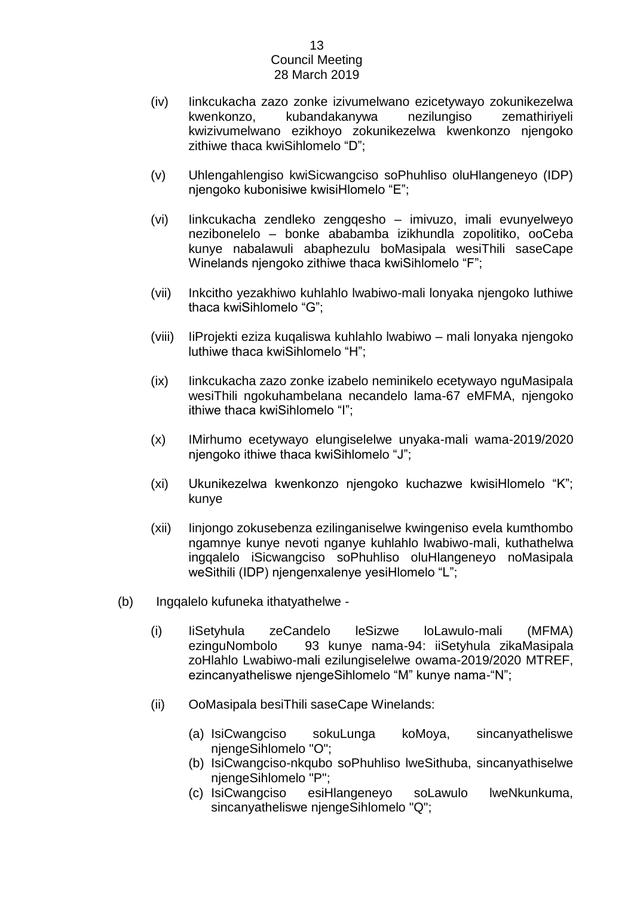- (iv) Iinkcukacha zazo zonke izivumelwano ezicetywayo zokunikezelwa kwenkonzo, kubandakanywa nezilungiso zemathiriyeli kwizivumelwano ezikhoyo zokunikezelwa kwenkonzo njengoko zithiwe thaca kwiSihlomelo "D";
- (v) Uhlengahlengiso kwiSicwangciso soPhuhliso oluHlangeneyo (IDP) njengoko kubonisiwe kwisiHlomelo "E";
- (vi) Iinkcukacha zendleko zengqesho imivuzo, imali evunyelweyo nezibonelelo – bonke ababamba izikhundla zopolitiko, ooCeba kunye nabalawuli abaphezulu boMasipala wesiThili saseCape Winelands njengoko zithiwe thaca kwiSihlomelo "F";
- (vii) Inkcitho yezakhiwo kuhlahlo lwabiwo-mali lonyaka njengoko luthiwe thaca kwiSihlomelo "G";
- (viii) IiProjekti eziza kuqaliswa kuhlahlo lwabiwo mali lonyaka njengoko luthiwe thaca kwiSihlomelo "H";
- (ix) Iinkcukacha zazo zonke izabelo neminikelo ecetywayo nguMasipala wesiThili ngokuhambelana necandelo lama-67 eMFMA, njengoko ithiwe thaca kwiSihlomelo "I";
- (x) IMirhumo ecetywayo elungiselelwe unyaka-mali wama-2019/2020 njengoko ithiwe thaca kwiSihlomelo "J";
- (xi) Ukunikezelwa kwenkonzo njengoko kuchazwe kwisiHlomelo "K"; kunye
- (xii) Iinjongo zokusebenza ezilinganiselwe kwingeniso evela kumthombo ngamnye kunye nevoti nganye kuhlahlo lwabiwo-mali, kuthathelwa ingqalelo iSicwangciso soPhuhliso oluHlangeneyo noMasipala weSithili (IDP) njengenxalenye yesiHlomelo "L";
- (b) Ingqalelo kufuneka ithatyathelwe
	- (i) IiSetyhula zeCandelo leSizwe loLawulo-mali (MFMA) ezinguNombolo 93 kunye nama-94: iiSetyhula zikaMasipala zoHlahlo Lwabiwo-mali ezilungiselelwe owama-2019/2020 MTREF, ezincanyatheliswe njengeSihlomelo "M" kunye nama-"N";
	- (ii) OoMasipala besiThili saseCape Winelands:
		- (a) IsiCwangciso sokuLunga koMoya, sincanyatheliswe njengeSihlomelo "O";
		- (b) IsiCwangciso-nkqubo soPhuhliso lweSithuba, sincanyathiselwe njengeSihlomelo "P";
		- (c) IsiCwangciso esiHlangeneyo soLawulo lweNkunkuma, sincanyatheliswe njengeSihlomelo "Q";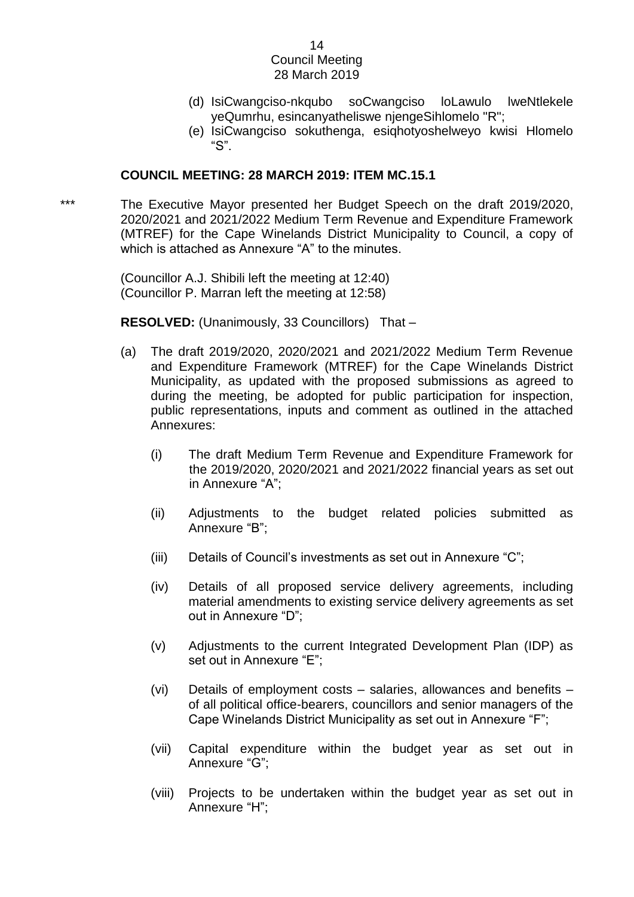- (d) IsiCwangciso-nkqubo soCwangciso loLawulo lweNtlekele yeQumrhu, esincanyatheliswe njengeSihlomelo "R";
- (e) IsiCwangciso sokuthenga, esiqhotyoshelweyo kwisi Hlomelo "S".

#### **COUNCIL MEETING: 28 MARCH 2019: ITEM MC.15.1**

\*\*\* The Executive Mayor presented her Budget Speech on the draft 2019/2020, 2020/2021 and 2021/2022 Medium Term Revenue and Expenditure Framework (MTREF) for the Cape Winelands District Municipality to Council, a copy of which is attached as Annexure "A" to the minutes.

> (Councillor A.J. Shibili left the meeting at 12:40) (Councillor P. Marran left the meeting at 12:58)

**RESOLVED:** (Unanimously, 33 Councillors) That –

- (a) The draft 2019/2020, 2020/2021 and 2021/2022 Medium Term Revenue and Expenditure Framework (MTREF) for the Cape Winelands District Municipality, as updated with the proposed submissions as agreed to during the meeting, be adopted for public participation for inspection, public representations, inputs and comment as outlined in the attached Annexures:
	- (i) The draft Medium Term Revenue and Expenditure Framework for the 2019/2020, 2020/2021 and 2021/2022 financial years as set out in Annexure "A";
	- (ii) Adjustments to the budget related policies submitted as Annexure "B";
	- (iii) Details of Council's investments as set out in Annexure "C";
	- (iv) Details of all proposed service delivery agreements, including material amendments to existing service delivery agreements as set out in Annexure "D";
	- (v) Adjustments to the current Integrated Development Plan (IDP) as set out in Annexure "E";
	- (vi) Details of employment costs salaries, allowances and benefits of all political office-bearers, councillors and senior managers of the Cape Winelands District Municipality as set out in Annexure "F";
	- (vii) Capital expenditure within the budget year as set out in Annexure "G";
	- (viii) Projects to be undertaken within the budget year as set out in Annexure "H";